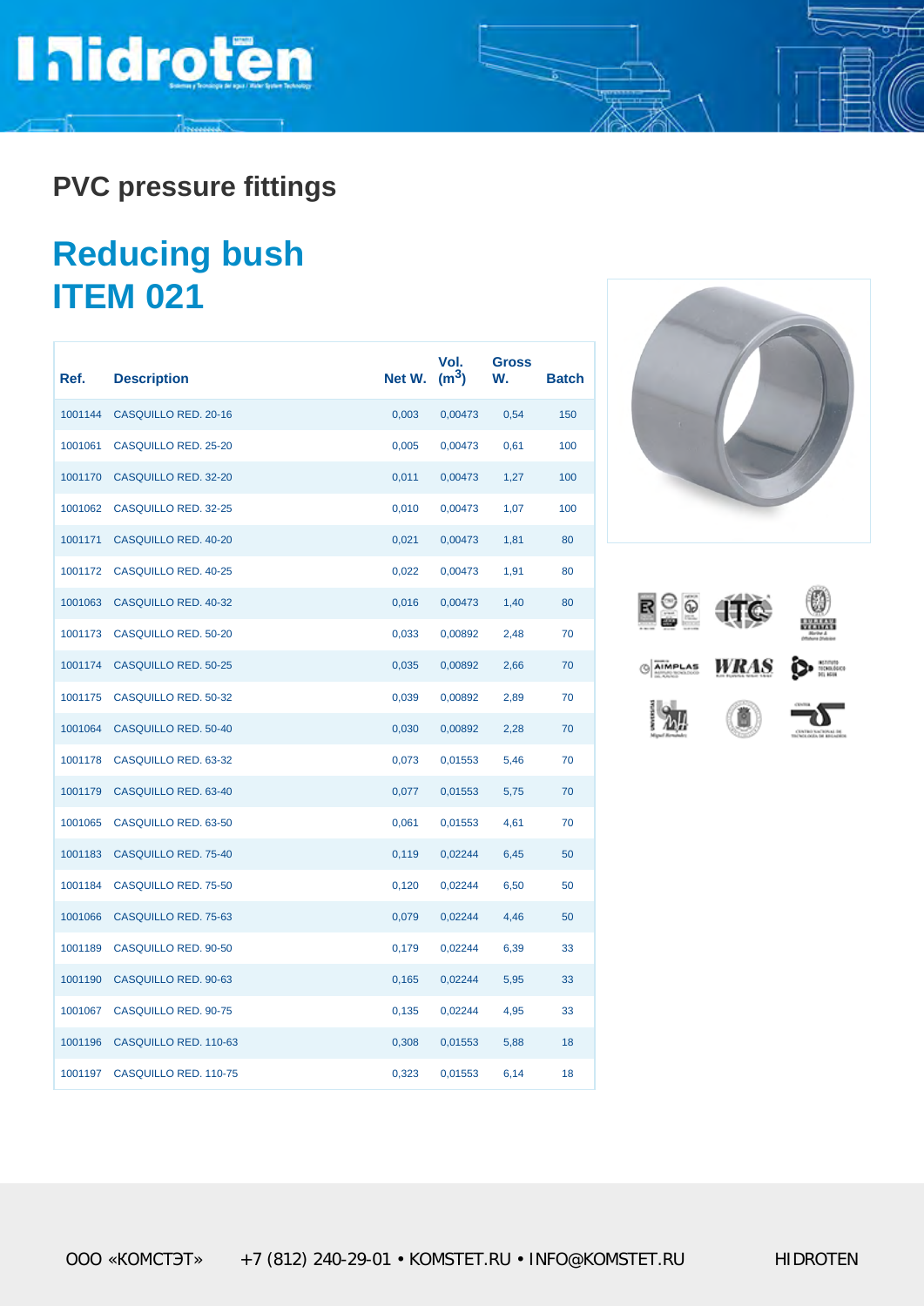## **Inidroten**

**PVC pressure fittings**

### **Reducing bush ITEM 021**

| Ref.    | <b>Description</b>          | Net W. | Vol.<br>(m <sup>3</sup> ) | <b>Gross</b><br>W. | <b>Batch</b> |
|---------|-----------------------------|--------|---------------------------|--------------------|--------------|
| 1001144 | <b>CASQUILLO RED. 20-16</b> | 0,003  | 0,00473                   | 0,54               | 150          |
| 1001061 | <b>CASQUILLO RED. 25-20</b> | 0,005  | 0,00473                   | 0,61               | 100          |
| 1001170 | <b>CASQUILLO RED. 32-20</b> | 0,011  | 0,00473                   | 1,27               | 100          |
| 1001062 | CASQUILLO RED. 32-25        | 0,010  | 0,00473                   | 1,07               | 100          |
| 1001171 | <b>CASQUILLO RED. 40-20</b> | 0,021  | 0,00473                   | 1,81               | 80           |
| 1001172 | CASQUILLO RED. 40-25        | 0,022  | 0,00473                   | 1,91               | 80           |
| 1001063 | CASQUILLO RED. 40-32        | 0,016  | 0,00473                   | 1,40               | 80           |
| 1001173 | <b>CASQUILLO RED. 50-20</b> | 0,033  | 0,00892                   | 2,48               | 70           |
| 1001174 | <b>CASQUILLO RED. 50-25</b> | 0,035  | 0,00892                   | 2,66               | 70           |
| 1001175 | CASQUILLO RED. 50-32        | 0,039  | 0,00892                   | 2,89               | 70           |
| 1001064 | CASQUILLO RED. 50-40        | 0,030  | 0,00892                   | 2,28               | 70           |
| 1001178 | CASQUILLO RED. 63-32        | 0,073  | 0,01553                   | 5,46               | 70           |
| 1001179 | CASQUILLO RED. 63-40        | 0,077  | 0,01553                   | 5,75               | 70           |
| 1001065 | CASQUILLO RED. 63-50        | 0,061  | 0,01553                   | 4,61               | 70           |
| 1001183 | CASQUILLO RED. 75-40        | 0,119  | 0,02244                   | 6,45               | 50           |
| 1001184 | CASQUILLO RED. 75-50        | 0,120  | 0,02244                   | 6,50               | 50           |
| 1001066 | CASQUILLO RED. 75-63        | 0,079  | 0,02244                   | 4,46               | 50           |
| 1001189 | CASQUILLO RED. 90-50        | 0,179  | 0,02244                   | 6,39               | 33           |
| 1001190 | CASQUILLO RED. 90-63        | 0,165  | 0,02244                   | 5,95               | 33           |
| 1001067 | CASQUILLO RED. 90-75        | 0,135  | 0,02244                   | 4,95               | 33           |
| 1001196 | CASQUILLO RED. 110-63       | 0,308  | 0,01553                   | 5,88               | 18           |
| 1001197 | CASQUILLO RED. 110-75       | 0,323  | 0,01553                   | 6,14               | 18           |



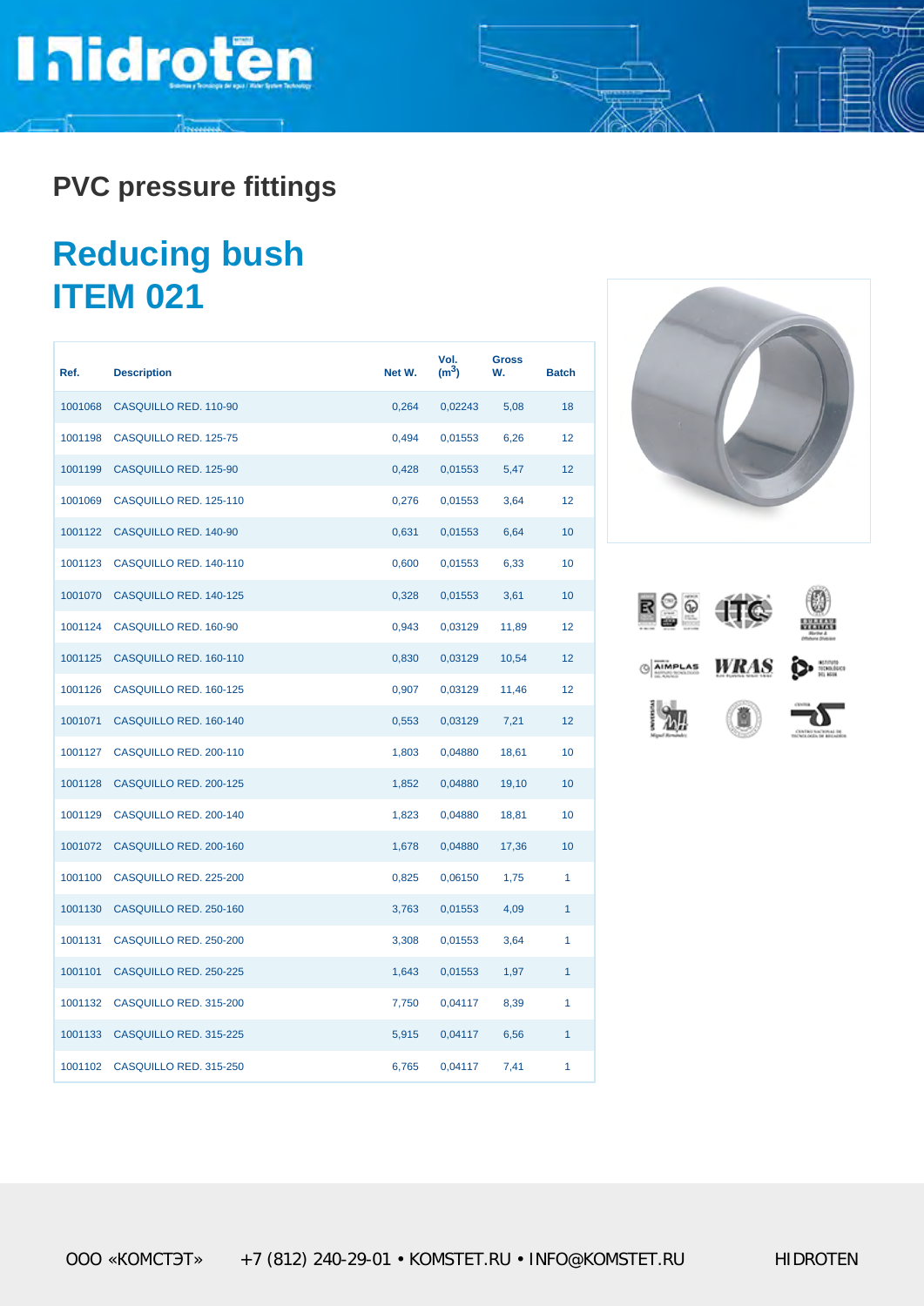## **Inidroten**

**PVC pressure fittings**

### **Reducing bush ITEM 021**

| Ref.    | <b>Description</b>     | Net W. | Vol.<br>(m <sup>3</sup> ) | <b>Gross</b><br>W. | <b>Batch</b> |
|---------|------------------------|--------|---------------------------|--------------------|--------------|
| 1001068 | CASQUILLO RED. 110-90  | 0,264  | 0,02243                   | 5,08               | 18           |
| 1001198 | CASQUILLO RED. 125-75  | 0,494  | 0,01553                   | 6,26               | 12           |
| 1001199 | CASQUILLO RED. 125-90  | 0,428  | 0,01553                   | 5,47               | 12           |
| 1001069 | CASQUILLO RED. 125-110 | 0,276  | 0,01553                   | 3,64               | 12           |
| 1001122 | CASQUILLO RED. 140-90  | 0,631  | 0,01553                   | 6,64               | 10           |
| 1001123 | CASQUILLO RED. 140-110 | 0,600  | 0,01553                   | 6,33               | 10           |
| 1001070 | CASQUILLO RED. 140-125 | 0,328  | 0,01553                   | 3,61               | 10           |
| 1001124 | CASQUILLO RED. 160-90  | 0,943  | 0,03129                   | 11,89              | 12           |
| 1001125 | CASQUILLO RED. 160-110 | 0,830  | 0,03129                   | 10,54              | 12           |
| 1001126 | CASQUILLO RED. 160-125 | 0,907  | 0,03129                   | 11,46              | 12           |
| 1001071 | CASQUILLO RED. 160-140 | 0,553  | 0,03129                   | 7,21               | 12           |
| 1001127 | CASQUILLO RED. 200-110 | 1,803  | 0,04880                   | 18,61              | 10           |
| 1001128 | CASQUILLO RED. 200-125 | 1,852  | 0,04880                   | 19,10              | 10           |
| 1001129 | CASQUILLO RED. 200-140 | 1,823  | 0,04880                   | 18,81              | 10           |
| 1001072 | CASQUILLO RED. 200-160 | 1,678  | 0,04880                   | 17,36              | 10           |
| 1001100 | CASQUILLO RED. 225-200 | 0,825  | 0,06150                   | 1,75               | 1            |
| 1001130 | CASQUILLO RED. 250-160 | 3,763  | 0,01553                   | 4,09               | 1            |
| 1001131 | CASQUILLO RED. 250-200 | 3,308  | 0,01553                   | 3,64               | 1            |
| 1001101 | CASQUILLO RED. 250-225 | 1,643  | 0,01553                   | 1,97               | 1            |
| 1001132 | CASQUILLO RED. 315-200 | 7,750  | 0,04117                   | 8,39               | 1            |
| 1001133 | CASQUILLO RED. 315-225 | 5,915  | 0,04117                   | 6,56               | 1            |
| 1001102 | CASQUILLO RED. 315-250 | 6,765  | 0,04117                   | 7,41               | 1            |



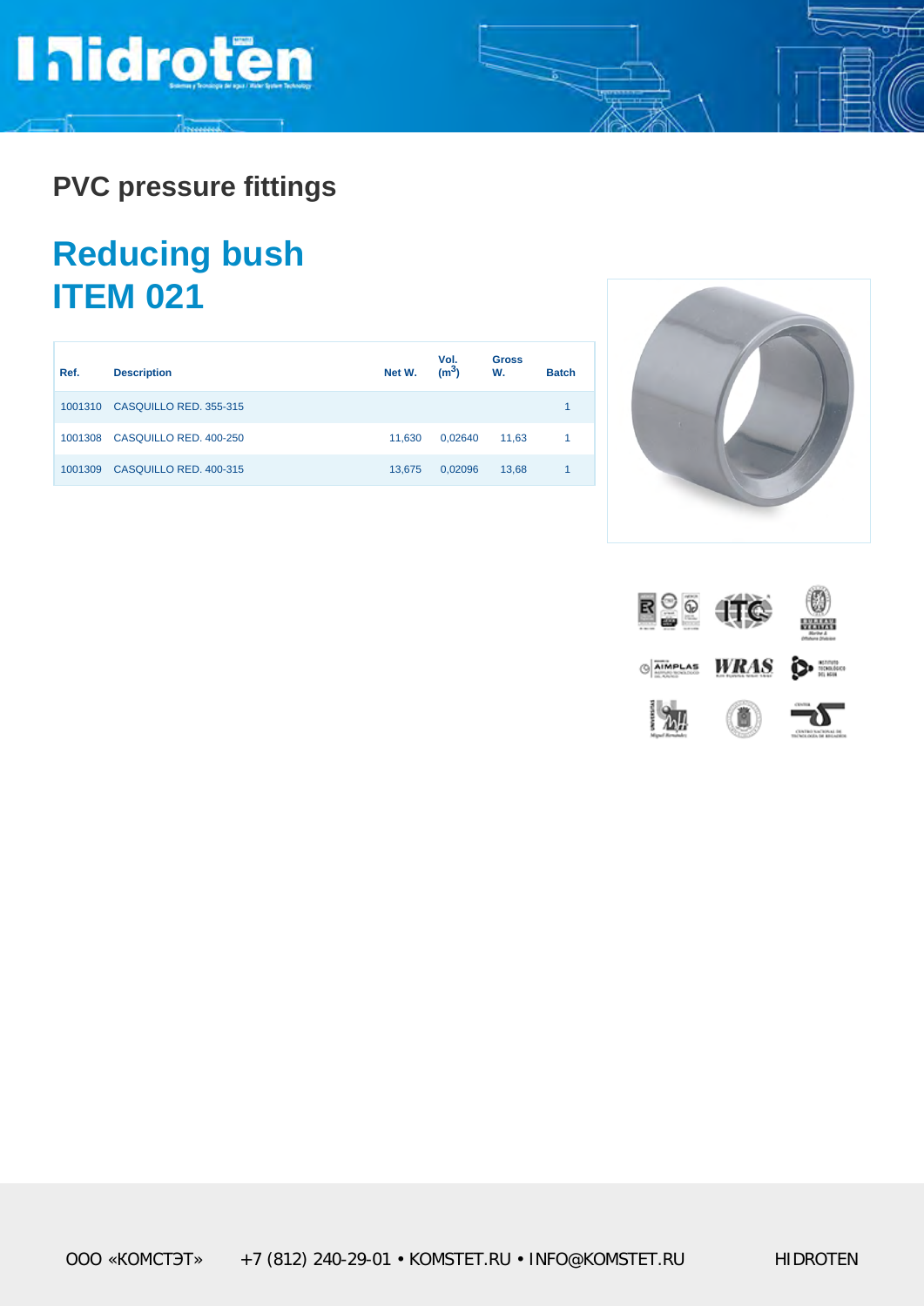# **Inidroten**

**PVC pressure fittings**

### **Reducing bush ITEM 021**

| Ref.    | <b>Description</b>     | Net W. | Vol.<br>(m <sup>3</sup> ) | Gross<br>W. | <b>Batch</b> |
|---------|------------------------|--------|---------------------------|-------------|--------------|
| 1001310 | CASQUILLO RED. 355-315 |        |                           |             |              |
| 1001308 | CASQUILLO RED. 400-250 | 11.630 | 0.02640                   | 11.63       |              |
| 1001309 | CASQUILLO RED. 400-315 | 13.675 | 0,02096                   | 13,68       |              |



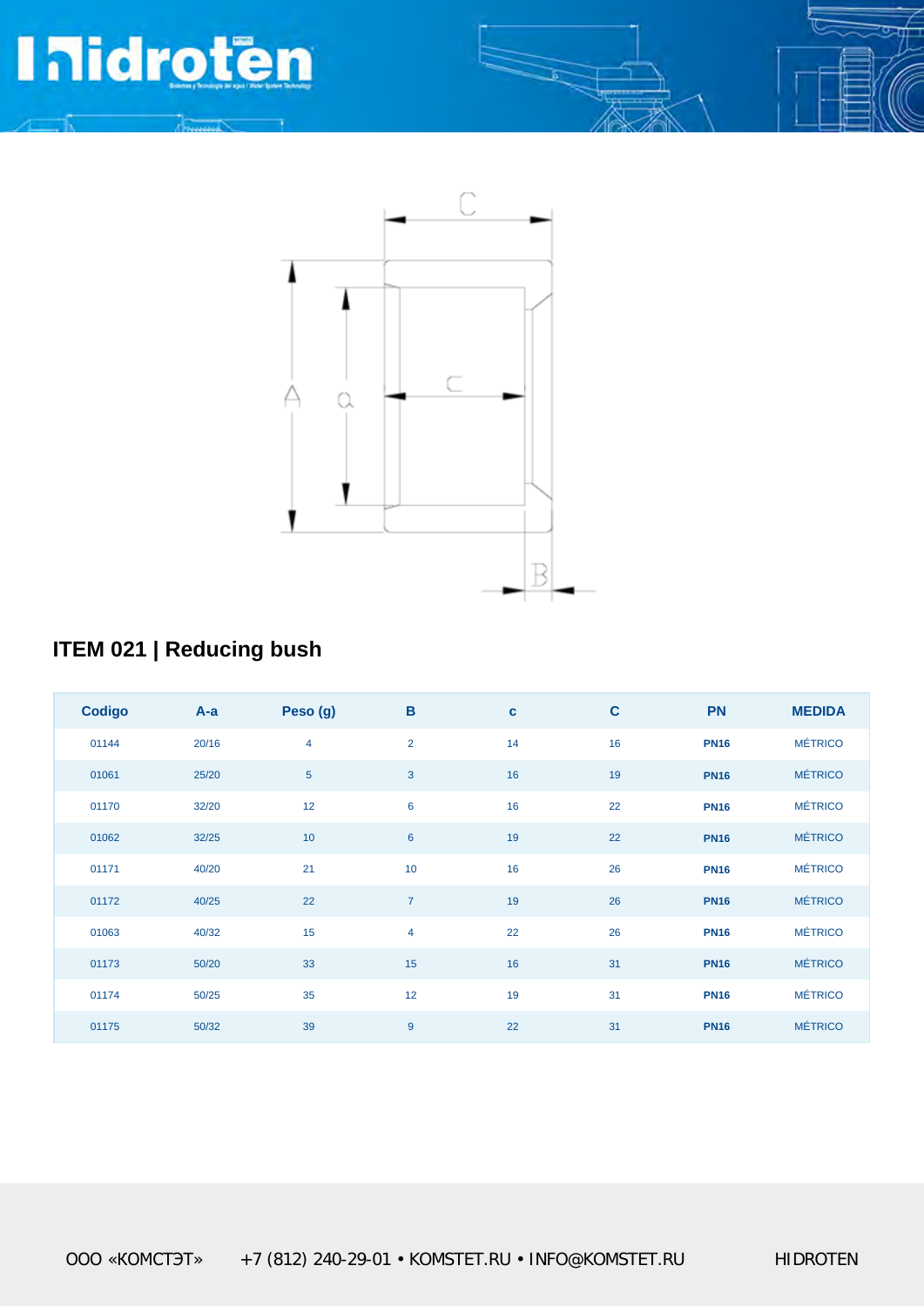## **PR**



**ITEM 021**

#### **ITEM 021 | Reducing bush**

| <b>Codigo</b> | $A-a$ | Peso (g)       | $\mathbf B$     | $\mathbf c$ | $\mathbf c$ | <b>PN</b>   | <b>MEDIDA</b>  |
|---------------|-------|----------------|-----------------|-------------|-------------|-------------|----------------|
| 01144         | 20/16 | $\overline{4}$ | $\overline{2}$  | 14          | 16          | <b>PN16</b> | <b>MÉTRICO</b> |
| 01061         | 25/20 | $\overline{5}$ | $\mathbf{3}$    | 16          | 19          | <b>PN16</b> | <b>MÉTRICO</b> |
| 01170         | 32/20 | 12             | 6               | 16          | 22          | <b>PN16</b> | <b>MÉTRICO</b> |
| 01062         | 32/25 | 10             | $6\phantom{1}6$ | 19          | 22          | <b>PN16</b> | <b>MÉTRICO</b> |
| 01171         | 40/20 | 21             | 10              | 16          | 26          | <b>PN16</b> | <b>MÉTRICO</b> |
| 01172         | 40/25 | 22             | $\overline{7}$  | 19          | 26          | <b>PN16</b> | <b>MÉTRICO</b> |
| 01063         | 40/32 | 15             | $\overline{4}$  | 22          | 26          | <b>PN16</b> | <b>MÉTRICO</b> |
| 01173         | 50/20 | 33             | 15              | 16          | 31          | <b>PN16</b> | <b>MÉTRICO</b> |
| 01174         | 50/25 | 35             | 12              | 19          | 31          | <b>PN16</b> | <b>MÉTRICO</b> |
| 01175         | 50/32 | 39             | 9               | 22          | 31          | <b>PN16</b> | <b>MÉTRICO</b> |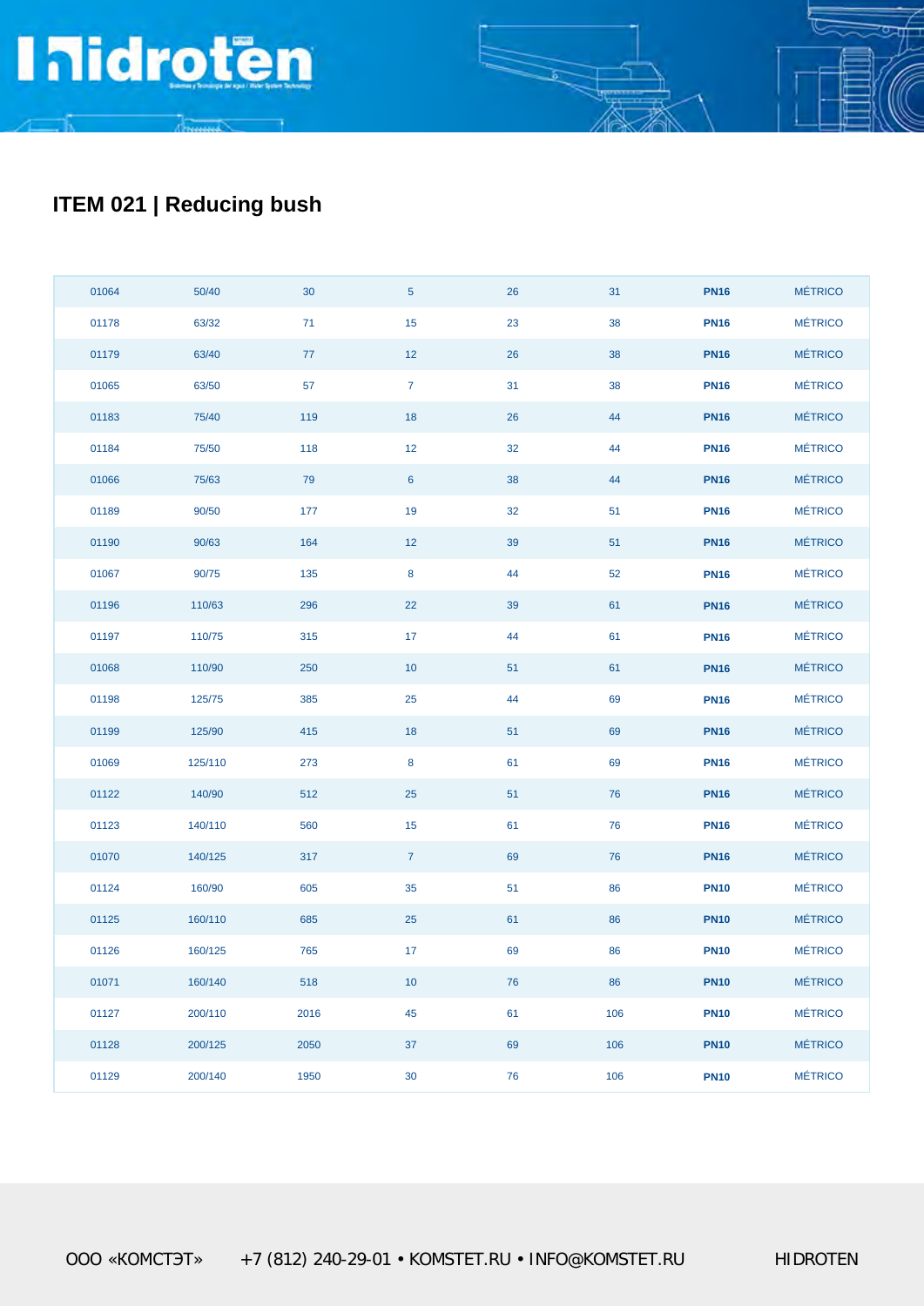#### **ITEM 021 | Reducing bush**

| 01064 | 50/40   | $30\,$ | $\overline{5}$  | 26 | 31  | <b>PN16</b> | <b>MÉTRICO</b> |
|-------|---------|--------|-----------------|----|-----|-------------|----------------|
| 01178 | 63/32   | 71     | 15              | 23 | 38  | <b>PN16</b> | <b>MÉTRICO</b> |
| 01179 | 63/40   | 77     | $12$            | 26 | 38  | <b>PN16</b> | <b>MÉTRICO</b> |
| 01065 | 63/50   | 57     | $\overline{7}$  | 31 | 38  | <b>PN16</b> | <b>MÉTRICO</b> |
| 01183 | 75/40   | 119    | 18              | 26 | 44  | <b>PN16</b> | <b>MÉTRICO</b> |
| 01184 | 75/50   | 118    | $12$            | 32 | 44  | <b>PN16</b> | <b>MÉTRICO</b> |
| 01066 | 75/63   | 79     | $6\phantom{1}6$ | 38 | 44  | <b>PN16</b> | <b>MÉTRICO</b> |
| 01189 | 90/50   | 177    | 19              | 32 | 51  | <b>PN16</b> | <b>MÉTRICO</b> |
| 01190 | 90/63   | 164    | 12              | 39 | 51  | <b>PN16</b> | <b>MÉTRICO</b> |
| 01067 | 90/75   | 135    | $\bf8$          | 44 | 52  | <b>PN16</b> | <b>MÉTRICO</b> |
| 01196 | 110/63  | 296    | 22              | 39 | 61  | <b>PN16</b> | <b>MÉTRICO</b> |
| 01197 | 110/75  | 315    | 17              | 44 | 61  | <b>PN16</b> | <b>MÉTRICO</b> |
| 01068 | 110/90  | 250    | $10$            | 51 | 61  | <b>PN16</b> | <b>MÉTRICO</b> |
| 01198 | 125/75  | 385    | 25              | 44 | 69  | <b>PN16</b> | <b>MÉTRICO</b> |
| 01199 | 125/90  | 415    | 18              | 51 | 69  | <b>PN16</b> | <b>MÉTRICO</b> |
| 01069 | 125/110 | 273    | $\bf 8$         | 61 | 69  | <b>PN16</b> | <b>MÉTRICO</b> |
| 01122 | 140/90  | 512    | 25              | 51 | 76  | <b>PN16</b> | <b>MÉTRICO</b> |
| 01123 | 140/110 | 560    | 15              | 61 | 76  | <b>PN16</b> | <b>MÉTRICO</b> |
| 01070 | 140/125 | 317    | $\mathbf 7$     | 69 | 76  | <b>PN16</b> | <b>MÉTRICO</b> |
| 01124 | 160/90  | 605    | 35              | 51 | 86  | <b>PN10</b> | <b>MÉTRICO</b> |
| 01125 | 160/110 | 685    | 25              | 61 | 86  | <b>PN10</b> | <b>MÉTRICO</b> |
| 01126 | 160/125 | 765    | 17              | 69 | 86  | <b>PN10</b> | <b>MÉTRICO</b> |
| 01071 | 160/140 | 518    | 10              | 76 | 86  | <b>PN10</b> | <b>MÉTRICO</b> |
| 01127 | 200/110 | 2016   | 45              | 61 | 106 | <b>PN10</b> | <b>MÉTRICO</b> |
| 01128 | 200/125 | 2050   | 37              | 69 | 106 | <b>PN10</b> | <b>MÉTRICO</b> |
| 01129 | 200/140 | 1950   | $30\,$          | 76 | 106 | <b>PN10</b> | <b>MÉTRICO</b> |